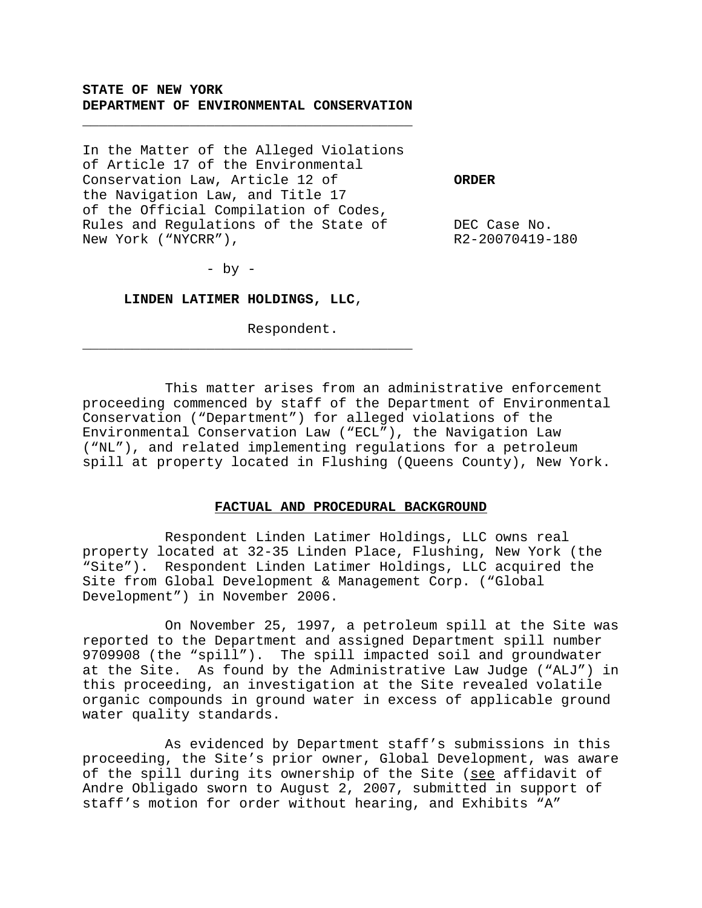### **STATE OF NEW YORK DEPARTMENT OF ENVIRONMENTAL CONSERVATION**

\_\_\_\_\_\_\_\_\_\_\_\_\_\_\_\_\_\_\_\_\_\_\_\_\_\_\_\_\_\_\_\_\_\_\_\_\_\_\_\_

In the Matter of the Alleged Violations of Article 17 of the Environmental Conservation Law, Article 12 of **ORDER** the Navigation Law, and Title 17 of the Official Compilation of Codes, Rules and Regulations of the State of TCC Case No. New York ("NYCRR"), R2-20070419-180

 $-$  by  $-$ 

**LINDEN LATIMER HOLDINGS, LLC**,

\_\_\_\_\_\_\_\_\_\_\_\_\_\_\_\_\_\_\_\_\_\_\_\_\_\_\_\_\_\_\_\_\_\_\_\_\_\_\_\_

Respondent.

This matter arises from an administrative enforcement proceeding commenced by staff of the Department of Environmental Conservation ("Department") for alleged violations of the Environmental Conservation Law ("ECL"), the Navigation Law ("NL"), and related implementing regulations for a petroleum spill at property located in Flushing (Queens County), New York.

#### **FACTUAL AND PROCEDURAL BACKGROUND**

Respondent Linden Latimer Holdings, LLC owns real property located at 32-35 Linden Place, Flushing, New York (the "Site"). Respondent Linden Latimer Holdings, LLC acquired the Site from Global Development & Management Corp. ("Global Development") in November 2006.

On November 25, 1997, a petroleum spill at the Site was reported to the Department and assigned Department spill number 9709908 (the "spill"). The spill impacted soil and groundwater at the Site. As found by the Administrative Law Judge ("ALJ") in this proceeding, an investigation at the Site revealed volatile organic compounds in ground water in excess of applicable ground water quality standards.

As evidenced by Department staff's submissions in this proceeding, the Site's prior owner, Global Development, was aware of the spill during its ownership of the Site (see affidavit of Andre Obligado sworn to August 2, 2007, submitted in support of staff's motion for order without hearing, and Exhibits "A"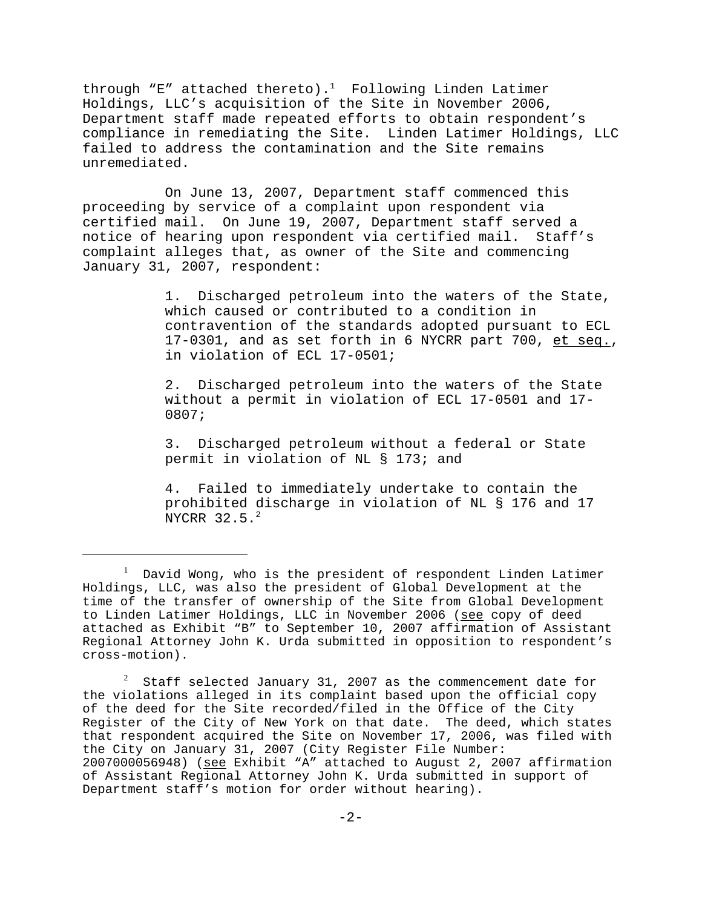through "E" attached thereto).<sup>1</sup> Following Linden Latimer Holdings, LLC's acquisition of the Site in November 2006, Department staff made repeated efforts to obtain respondent's compliance in remediating the Site. Linden Latimer Holdings, LLC failed to address the contamination and the Site remains unremediated.

On June 13, 2007, Department staff commenced this proceeding by service of a complaint upon respondent via certified mail. On June 19, 2007, Department staff served a notice of hearing upon respondent via certified mail. Staff's complaint alleges that, as owner of the Site and commencing January 31, 2007, respondent:

> 1. Discharged petroleum into the waters of the State, which caused or contributed to a condition in contravention of the standards adopted pursuant to ECL 17-0301, and as set forth in 6 NYCRR part 700, et seq., in violation of ECL 17-0501;

2. Discharged petroleum into the waters of the State without a permit in violation of ECL 17-0501 and 17- 0807;

3. Discharged petroleum without a federal or State permit in violation of NL § 173; and

4. Failed to immediately undertake to contain the prohibited discharge in violation of NL § 176 and 17 NYCRR 32.5.<sup>2</sup>

 $^{\rm l}$  David Wong, who is the president of respondent Linden Latimer Holdings, LLC, was also the president of Global Development at the time of the transfer of ownership of the Site from Global Development to Linden Latimer Holdings, LLC in November 2006 (see copy of deed attached as Exhibit "B" to September 10, 2007 affirmation of Assistant Regional Attorney John K. Urda submitted in opposition to respondent's cross-motion).

<sup>2</sup> Staff selected January 31, 2007 as the commencement date for the violations alleged in its complaint based upon the official copy of the deed for the Site recorded/filed in the Office of the City Register of the City of New York on that date. The deed, which states that respondent acquired the Site on November 17, 2006, was filed with the City on January 31, 2007 (City Register File Number: 2007000056948) (see Exhibit "A" attached to August 2, 2007 affirmation of Assistant Regional Attorney John K. Urda submitted in support of Department staff's motion for order without hearing).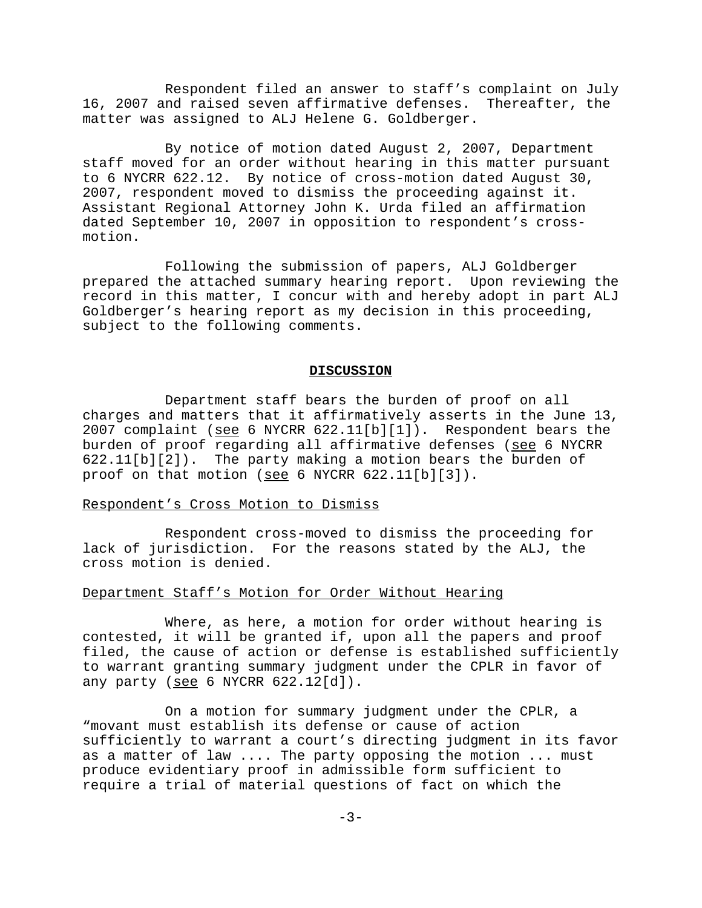Respondent filed an answer to staff's complaint on July 16, 2007 and raised seven affirmative defenses. Thereafter, the matter was assigned to ALJ Helene G. Goldberger.

By notice of motion dated August 2, 2007, Department staff moved for an order without hearing in this matter pursuant to 6 NYCRR 622.12. By notice of cross-motion dated August 30, 2007, respondent moved to dismiss the proceeding against it. Assistant Regional Attorney John K. Urda filed an affirmation dated September 10, 2007 in opposition to respondent's crossmotion.

Following the submission of papers, ALJ Goldberger prepared the attached summary hearing report. Upon reviewing the record in this matter, I concur with and hereby adopt in part ALJ Goldberger's hearing report as my decision in this proceeding, subject to the following comments.

#### **DISCUSSION**

Department staff bears the burden of proof on all charges and matters that it affirmatively asserts in the June 13, 2007 complaint (see 6 NYCRR 622.11[b][1]). Respondent bears the burden of proof regarding all affirmative defenses (see 6 NYCRR 622.11[b][2]). The party making a motion bears the burden of proof on that motion (see 6 NYCRR 622.11[b][3]).

## Respondent's Cross Motion to Dismiss

Respondent cross-moved to dismiss the proceeding for lack of jurisdiction. For the reasons stated by the ALJ, the cross motion is denied.

#### Department Staff's Motion for Order Without Hearing

Where, as here, a motion for order without hearing is contested, it will be granted if, upon all the papers and proof filed, the cause of action or defense is established sufficiently to warrant granting summary judgment under the CPLR in favor of any party (see 6 NYCRR 622.12[d]).

On a motion for summary judgment under the CPLR, a "movant must establish its defense or cause of action sufficiently to warrant a court's directing judgment in its favor as a matter of law .... The party opposing the motion ... must produce evidentiary proof in admissible form sufficient to require a trial of material questions of fact on which the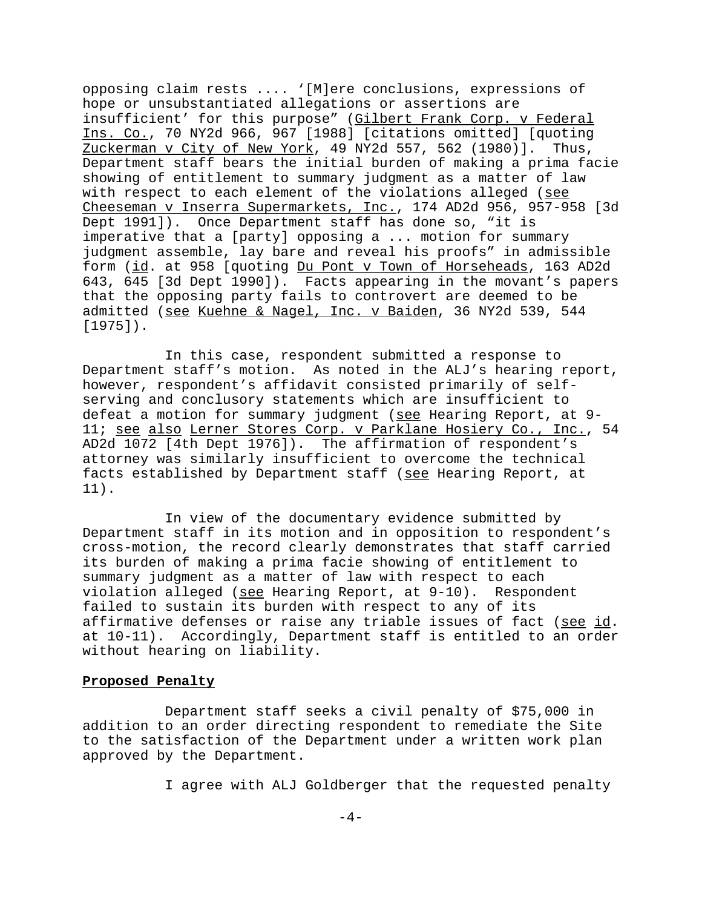opposing claim rests .... '[M]ere conclusions, expressions of hope or unsubstantiated allegations or assertions are insufficient' for this purpose" (Gilbert Frank Corp. v Federal Ins. Co., 70 NY2d 966, 967 [1988] [citations omitted] [quoting Zuckerman v City of New York, 49 NY2d 557, 562 (1980)]. Thus, Department staff bears the initial burden of making a prima facie showing of entitlement to summary judgment as a matter of law with respect to each element of the violations alleged (see Cheeseman v Inserra Supermarkets, Inc., 174 AD2d 956, 957-958 [3d Dept 1991]). Once Department staff has done so, "it is imperative that a [party] opposing a ... motion for summary judgment assemble, lay bare and reveal his proofs" in admissible form (id. at 958 [quoting Du Pont v Town of Horseheads, 163 AD2d 643, 645 [3d Dept 1990]). Facts appearing in the movant's papers that the opposing party fails to controvert are deemed to be admitted (see Kuehne & Nagel, Inc. v Baiden, 36 NY2d 539, 544 [1975]).

In this case, respondent submitted a response to Department staff's motion. As noted in the ALJ's hearing report, however, respondent's affidavit consisted primarily of selfserving and conclusory statements which are insufficient to defeat a motion for summary judgment (see Hearing Report, at 9-11; see also Lerner Stores Corp. v Parklane Hosiery Co., Inc., 54 AD2d 1072 [4th Dept 1976]). The affirmation of respondent's attorney was similarly insufficient to overcome the technical facts established by Department staff (see Hearing Report, at 11).

In view of the documentary evidence submitted by Department staff in its motion and in opposition to respondent's cross-motion, the record clearly demonstrates that staff carried its burden of making a prima facie showing of entitlement to summary judgment as a matter of law with respect to each violation alleged (see Hearing Report, at 9-10). Respondent failed to sustain its burden with respect to any of its affirmative defenses or raise any triable issues of fact (see id. at 10-11). Accordingly, Department staff is entitled to an order without hearing on liability.

### **Proposed Penalty**

Department staff seeks a civil penalty of \$75,000 in addition to an order directing respondent to remediate the Site to the satisfaction of the Department under a written work plan approved by the Department.

I agree with ALJ Goldberger that the requested penalty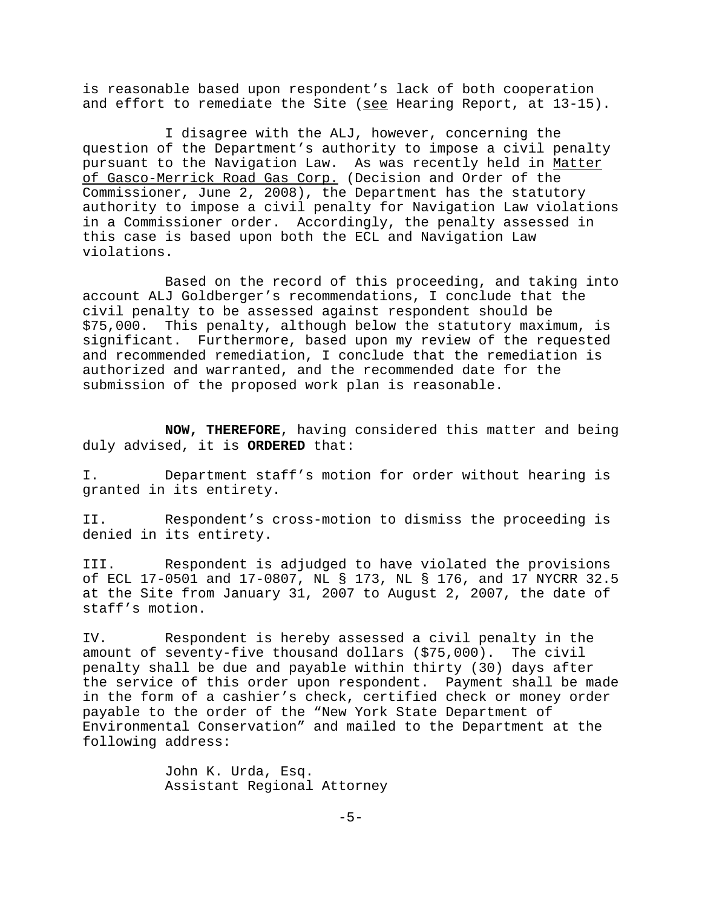is reasonable based upon respondent's lack of both cooperation and effort to remediate the Site (see Hearing Report, at 13-15).

I disagree with the ALJ, however, concerning the question of the Department's authority to impose a civil penalty pursuant to the Navigation Law. As was recently held in Matter of Gasco-Merrick Road Gas Corp. (Decision and Order of the Commissioner, June 2, 2008), the Department has the statutory authority to impose a civil penalty for Navigation Law violations in a Commissioner order. Accordingly, the penalty assessed in this case is based upon both the ECL and Navigation Law violations.

Based on the record of this proceeding, and taking into account ALJ Goldberger's recommendations, I conclude that the civil penalty to be assessed against respondent should be \$75,000. This penalty, although below the statutory maximum, is significant. Furthermore, based upon my review of the requested and recommended remediation, I conclude that the remediation is authorized and warranted, and the recommended date for the submission of the proposed work plan is reasonable.

**NOW, THEREFORE**, having considered this matter and being duly advised, it is **ORDERED** that:

I. Department staff's motion for order without hearing is granted in its entirety.

II. Respondent's cross-motion to dismiss the proceeding is denied in its entirety.

III. Respondent is adjudged to have violated the provisions of ECL 17-0501 and 17-0807, NL § 173, NL § 176, and 17 NYCRR 32.5 at the Site from January 31, 2007 to August 2, 2007, the date of staff's motion.

IV. Respondent is hereby assessed a civil penalty in the amount of seventy-five thousand dollars (\$75,000). The civil penalty shall be due and payable within thirty (30) days after the service of this order upon respondent. Payment shall be made in the form of a cashier's check, certified check or money order payable to the order of the "New York State Department of Environmental Conservation" and mailed to the Department at the following address:

> John K. Urda, Esq. Assistant Regional Attorney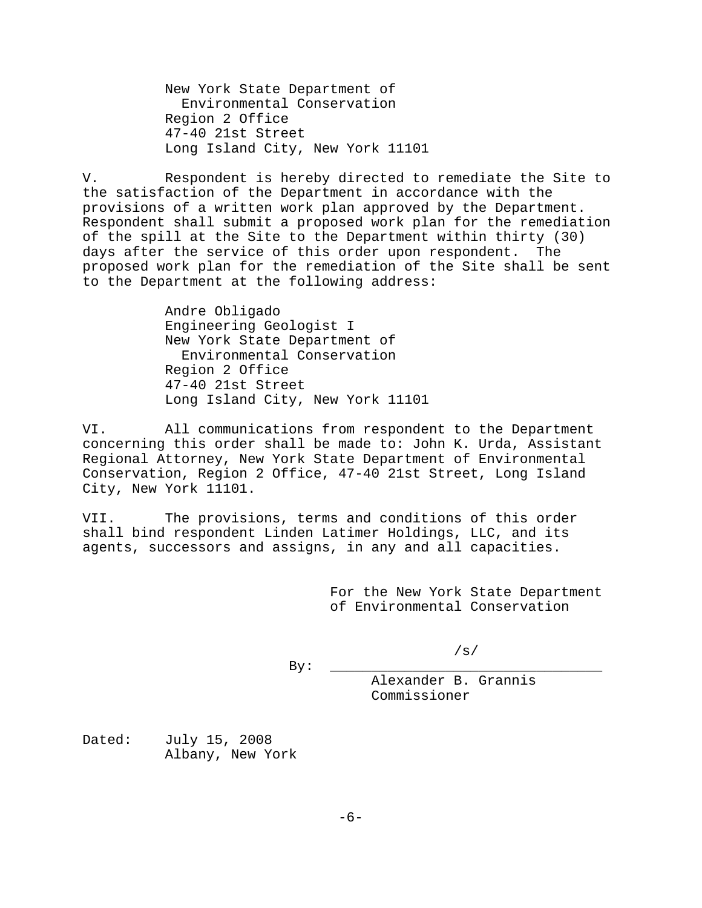New York State Department of Environmental Conservation Region 2 Office 47-40 21st Street Long Island City, New York 11101

V. Respondent is hereby directed to remediate the Site to the satisfaction of the Department in accordance with the provisions of a written work plan approved by the Department. Respondent shall submit a proposed work plan for the remediation of the spill at the Site to the Department within thirty (30) days after the service of this order upon respondent. The proposed work plan for the remediation of the Site shall be sent to the Department at the following address:

> Andre Obligado Engineering Geologist I New York State Department of Environmental Conservation Region 2 Office 47-40 21st Street Long Island City, New York 11101

VI. All communications from respondent to the Department concerning this order shall be made to: John K. Urda, Assistant Regional Attorney, New York State Department of Environmental Conservation, Region 2 Office, 47-40 21st Street, Long Island City, New York 11101.

VII. The provisions, terms and conditions of this order shall bind respondent Linden Latimer Holdings, LLC, and its agents, successors and assigns, in any and all capacities.

> For the New York State Department of Environmental Conservation

> > /s/

By: \_\_\_\_\_\_\_\_\_\_\_\_\_\_\_\_\_\_\_\_\_\_\_\_\_\_\_\_\_\_\_\_\_ Alexander B. Grannis Commissioner

Dated: July 15, 2008 Albany, New York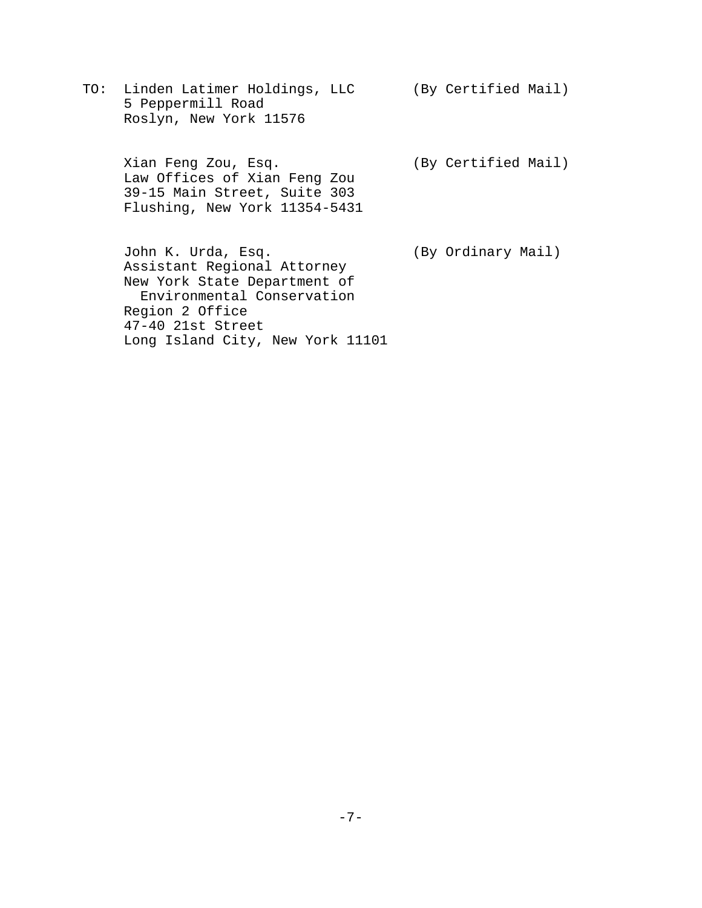TO: Linden Latimer Holdings, LLC (By Certified Mail) 5 Peppermill Road Roslyn, New York 11576

Xian Feng Zou, Esq. (By Certified Mail) Law Offices of Xian Feng Zou 39-15 Main Street, Suite 303 Flushing, New York 11354-5431

John K. Urda, Esq. (By Ordinary Mail) Assistant Regional Attorney New York State Department of Environmental Conservation Region 2 Office 47-40 21st Street Long Island City, New York 11101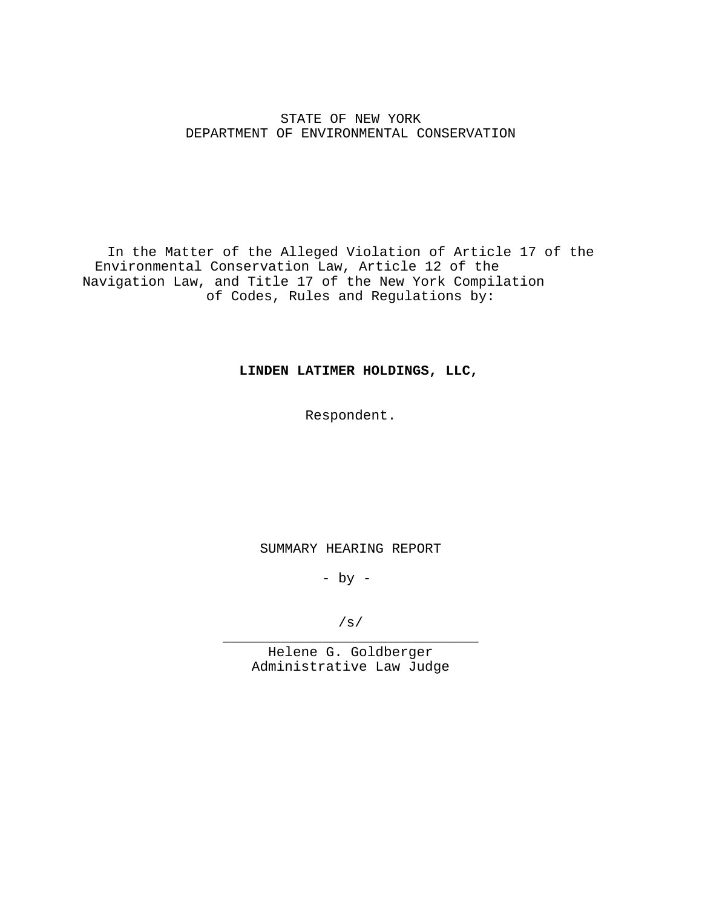## STATE OF NEW YORK DEPARTMENT OF ENVIRONMENTAL CONSERVATION

In the Matter of the Alleged Violation of Article 17 of the Environmental Conservation Law, Article 12 of the Navigation Law, and Title 17 of the New York Compilation of Codes, Rules and Regulations by:

### **LINDEN LATIMER HOLDINGS, LLC,**

Respondent.

SUMMARY HEARING REPORT

- by -

/s/ \_\_\_\_\_\_\_\_\_\_\_\_\_\_\_\_\_\_\_\_\_\_\_\_\_\_\_\_\_\_\_

Helene G. Goldberger Administrative Law Judge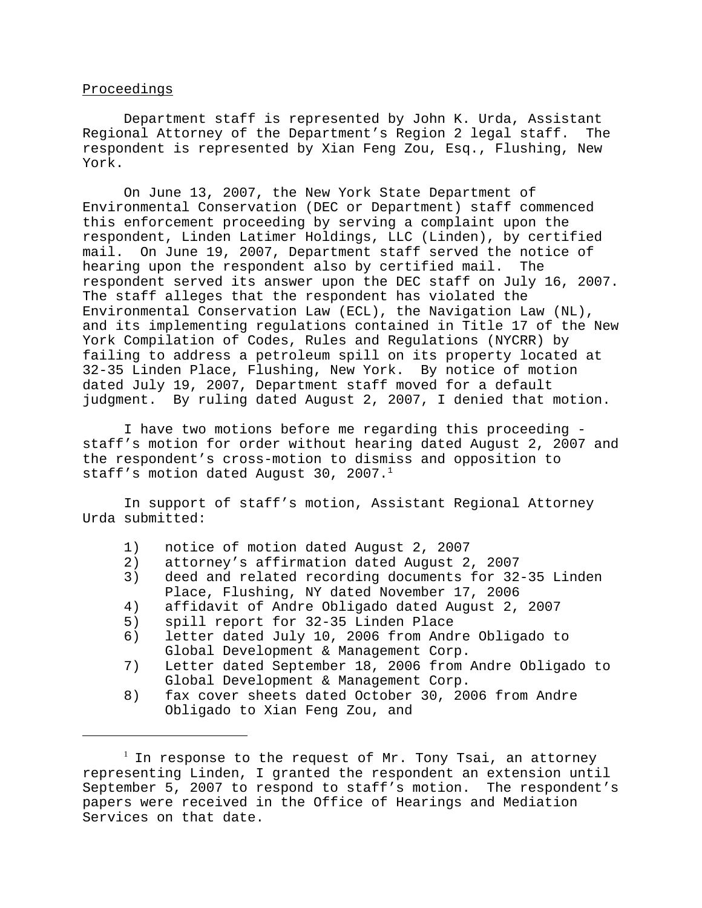### Proceedings

Department staff is represented by John K. Urda, Assistant Regional Attorney of the Department's Region 2 legal staff. The respondent is represented by Xian Feng Zou, Esq., Flushing, New York.

On June 13, 2007, the New York State Department of Environmental Conservation (DEC or Department) staff commenced this enforcement proceeding by serving a complaint upon the respondent, Linden Latimer Holdings, LLC (Linden), by certified mail. On June 19, 2007, Department staff served the notice of hearing upon the respondent also by certified mail. The respondent served its answer upon the DEC staff on July 16, 2007. The staff alleges that the respondent has violated the Environmental Conservation Law (ECL), the Navigation Law (NL), and its implementing regulations contained in Title 17 of the New York Compilation of Codes, Rules and Regulations (NYCRR) by failing to address a petroleum spill on its property located at 32-35 Linden Place, Flushing, New York. By notice of motion dated July 19, 2007, Department staff moved for a default judgment. By ruling dated August 2, 2007, I denied that motion.

I have two motions before me regarding this proceeding staff's motion for order without hearing dated August 2, 2007 and the respondent's cross-motion to dismiss and opposition to staff's motion dated August 30, 2007. $^1$ 

In support of staff's motion, Assistant Regional Attorney Urda submitted:

- 1) notice of motion dated August 2, 2007
- 2) attorney's affirmation dated August 2, 2007
- 3) deed and related recording documents for 32-35 Linden Place, Flushing, NY dated November 17, 2006
- 4) affidavit of Andre Obligado dated August 2, 2007
- 5) spill report for 32-35 Linden Place
- 6) letter dated July 10, 2006 from Andre Obligado to Global Development & Management Corp.
- 7) Letter dated September 18, 2006 from Andre Obligado to Global Development & Management Corp.
- 8) fax cover sheets dated October 30, 2006 from Andre Obligado to Xian Feng Zou, and

 $^{\rm l}$  In response to the request of Mr. Tony Tsai, an attorney representing Linden, I granted the respondent an extension until September 5, 2007 to respond to staff's motion. The respondent's papers were received in the Office of Hearings and Mediation Services on that date.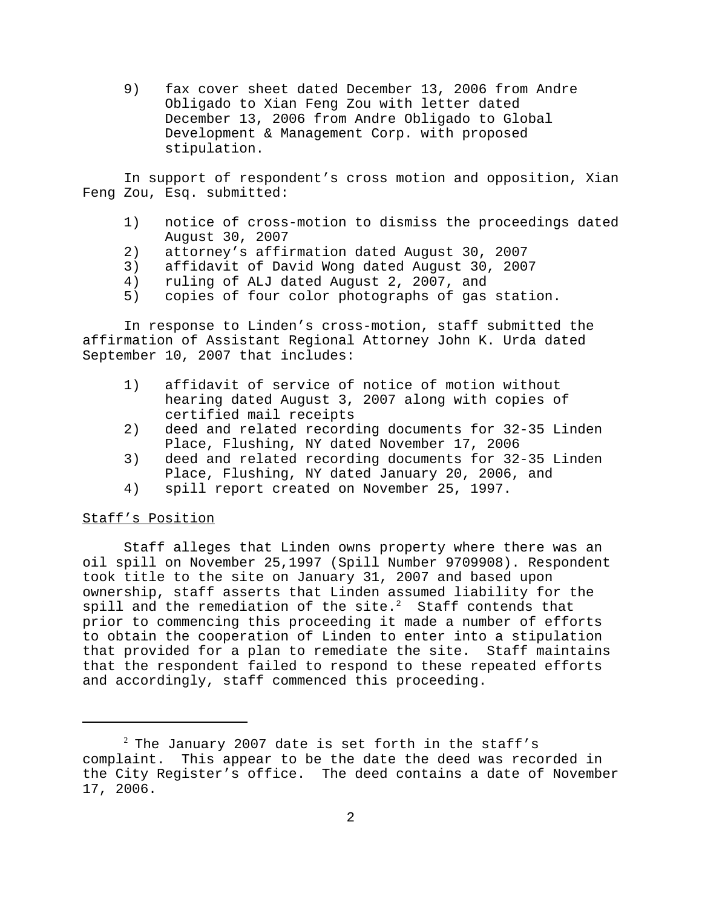9) fax cover sheet dated December 13, 2006 from Andre Obligado to Xian Feng Zou with letter dated December 13, 2006 from Andre Obligado to Global Development & Management Corp. with proposed stipulation.

In support of respondent's cross motion and opposition, Xian Feng Zou, Esq. submitted:

- 1) notice of cross-motion to dismiss the proceedings dated August 30, 2007
- 2) attorney's affirmation dated August 30, 2007
- 3) affidavit of David Wong dated August 30, 2007
- 4) ruling of ALJ dated August 2, 2007, and
- 5) copies of four color photographs of gas station.

In response to Linden's cross-motion, staff submitted the affirmation of Assistant Regional Attorney John K. Urda dated September 10, 2007 that includes:

- 1) affidavit of service of notice of motion without hearing dated August 3, 2007 along with copies of certified mail receipts
- 2) deed and related recording documents for 32-35 Linden Place, Flushing, NY dated November 17, 2006
- 3) deed and related recording documents for 32-35 Linden Place, Flushing, NY dated January 20, 2006, and
- 4) spill report created on November 25, 1997.

## Staff's Position

Staff alleges that Linden owns property where there was an oil spill on November 25,1997 (Spill Number 9709908). Respondent took title to the site on January 31, 2007 and based upon ownership, staff asserts that Linden assumed liability for the spill and the remediation of the site. $2$  Staff contends that prior to commencing this proceeding it made a number of efforts to obtain the cooperation of Linden to enter into a stipulation that provided for a plan to remediate the site. Staff maintains that the respondent failed to respond to these repeated efforts and accordingly, staff commenced this proceeding.

 $^2$  The January 2007 date is set forth in the staff's complaint. This appear to be the date the deed was recorded in the City Register's office. The deed contains a date of November 17, 2006.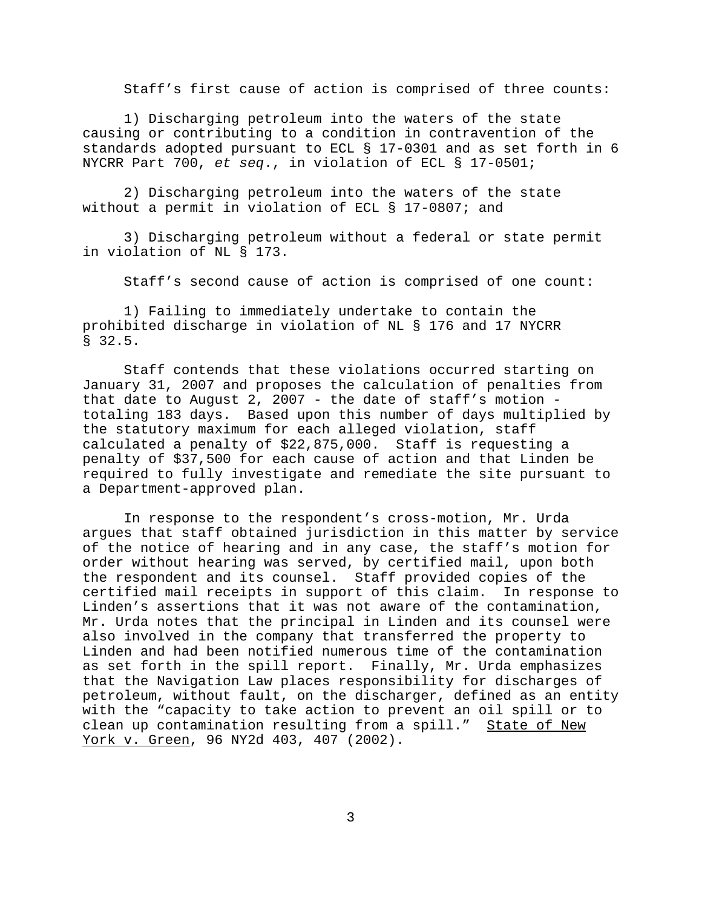Staff's first cause of action is comprised of three counts:

1) Discharging petroleum into the waters of the state causing or contributing to a condition in contravention of the standards adopted pursuant to ECL § 17-0301 and as set forth in 6 NYCRR Part 700, *et seq*., in violation of ECL § 17-0501;

2) Discharging petroleum into the waters of the state without a permit in violation of ECL § 17-0807; and

3) Discharging petroleum without a federal or state permit in violation of NL § 173.

Staff's second cause of action is comprised of one count:

1) Failing to immediately undertake to contain the prohibited discharge in violation of NL § 176 and 17 NYCRR § 32.5.

Staff contends that these violations occurred starting on January 31, 2007 and proposes the calculation of penalties from that date to August 2, 2007 - the date of staff's motion totaling 183 days. Based upon this number of days multiplied by the statutory maximum for each alleged violation, staff calculated a penalty of \$22,875,000. Staff is requesting a penalty of \$37,500 for each cause of action and that Linden be required to fully investigate and remediate the site pursuant to a Department-approved plan.

In response to the respondent's cross-motion, Mr. Urda argues that staff obtained jurisdiction in this matter by service of the notice of hearing and in any case, the staff's motion for order without hearing was served, by certified mail, upon both the respondent and its counsel. Staff provided copies of the certified mail receipts in support of this claim. In response to Linden's assertions that it was not aware of the contamination, Mr. Urda notes that the principal in Linden and its counsel were also involved in the company that transferred the property to Linden and had been notified numerous time of the contamination as set forth in the spill report. Finally, Mr. Urda emphasizes that the Navigation Law places responsibility for discharges of petroleum, without fault, on the discharger, defined as an entity with the "capacity to take action to prevent an oil spill or to clean up contamination resulting from a spill." State of New York v. Green, 96 NY2d 403, 407 (2002).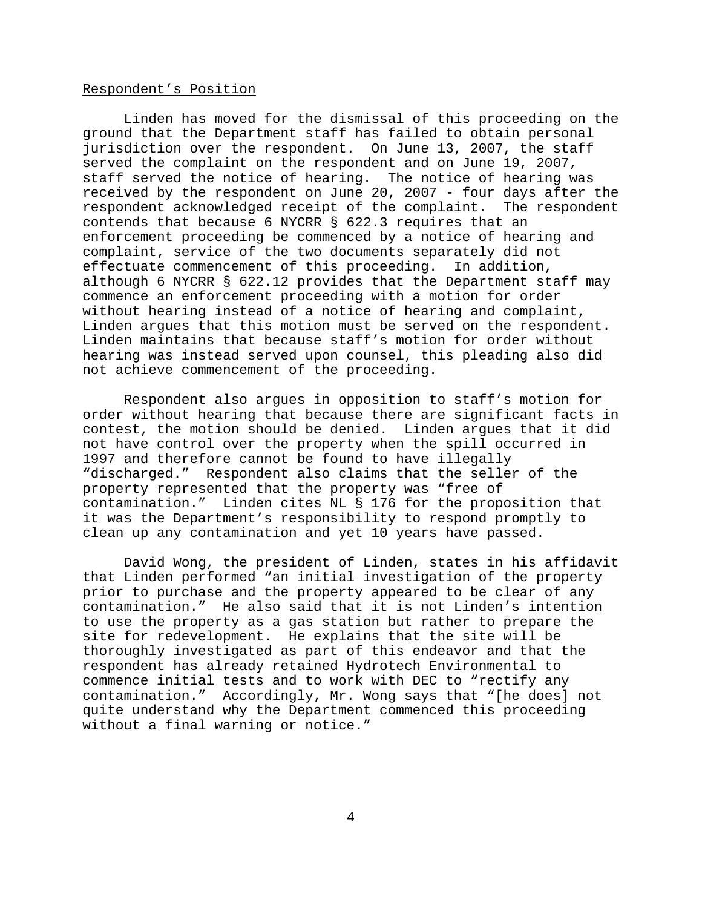#### Respondent's Position

Linden has moved for the dismissal of this proceeding on the ground that the Department staff has failed to obtain personal jurisdiction over the respondent. On June 13, 2007, the staff served the complaint on the respondent and on June 19, 2007, staff served the notice of hearing. The notice of hearing was received by the respondent on June 20, 2007 - four days after the respondent acknowledged receipt of the complaint. The respondent contends that because 6 NYCRR § 622.3 requires that an enforcement proceeding be commenced by a notice of hearing and complaint, service of the two documents separately did not effectuate commencement of this proceeding. In addition, although 6 NYCRR § 622.12 provides that the Department staff may commence an enforcement proceeding with a motion for order without hearing instead of a notice of hearing and complaint, Linden argues that this motion must be served on the respondent. Linden maintains that because staff's motion for order without hearing was instead served upon counsel, this pleading also did not achieve commencement of the proceeding.

Respondent also argues in opposition to staff's motion for order without hearing that because there are significant facts in contest, the motion should be denied. Linden argues that it did not have control over the property when the spill occurred in 1997 and therefore cannot be found to have illegally "discharged." Respondent also claims that the seller of the property represented that the property was "free of contamination." Linden cites NL § 176 for the proposition that it was the Department's responsibility to respond promptly to clean up any contamination and yet 10 years have passed.

David Wong, the president of Linden, states in his affidavit that Linden performed "an initial investigation of the property prior to purchase and the property appeared to be clear of any contamination." He also said that it is not Linden's intention to use the property as a gas station but rather to prepare the site for redevelopment. He explains that the site will be thoroughly investigated as part of this endeavor and that the respondent has already retained Hydrotech Environmental to commence initial tests and to work with DEC to "rectify any contamination." Accordingly, Mr. Wong says that "[he does] not quite understand why the Department commenced this proceeding without a final warning or notice."

4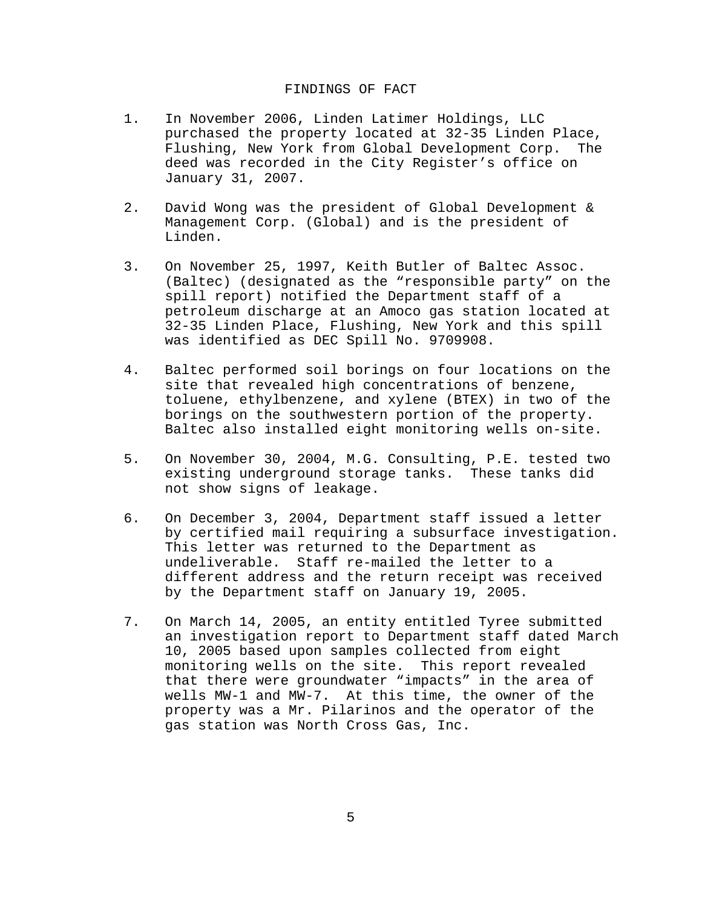#### FINDINGS OF FACT

- 1. In November 2006, Linden Latimer Holdings, LLC purchased the property located at 32-35 Linden Place, Flushing, New York from Global Development Corp. The deed was recorded in the City Register's office on January 31, 2007.
- 2. David Wong was the president of Global Development & Management Corp. (Global) and is the president of Linden.
- 3. On November 25, 1997, Keith Butler of Baltec Assoc. (Baltec) (designated as the "responsible party" on the spill report) notified the Department staff of a petroleum discharge at an Amoco gas station located at 32-35 Linden Place, Flushing, New York and this spill was identified as DEC Spill No. 9709908.
- 4. Baltec performed soil borings on four locations on the site that revealed high concentrations of benzene, toluene, ethylbenzene, and xylene (BTEX) in two of the borings on the southwestern portion of the property. Baltec also installed eight monitoring wells on-site.
- 5. On November 30, 2004, M.G. Consulting, P.E. tested two existing underground storage tanks. These tanks did not show signs of leakage.
- 6. On December 3, 2004, Department staff issued a letter by certified mail requiring a subsurface investigation. This letter was returned to the Department as undeliverable. Staff re-mailed the letter to a different address and the return receipt was received by the Department staff on January 19, 2005.
- 7. On March 14, 2005, an entity entitled Tyree submitted an investigation report to Department staff dated March 10, 2005 based upon samples collected from eight monitoring wells on the site. This report revealed that there were groundwater "impacts" in the area of wells MW-1 and MW-7. At this time, the owner of the property was a Mr. Pilarinos and the operator of the gas station was North Cross Gas, Inc.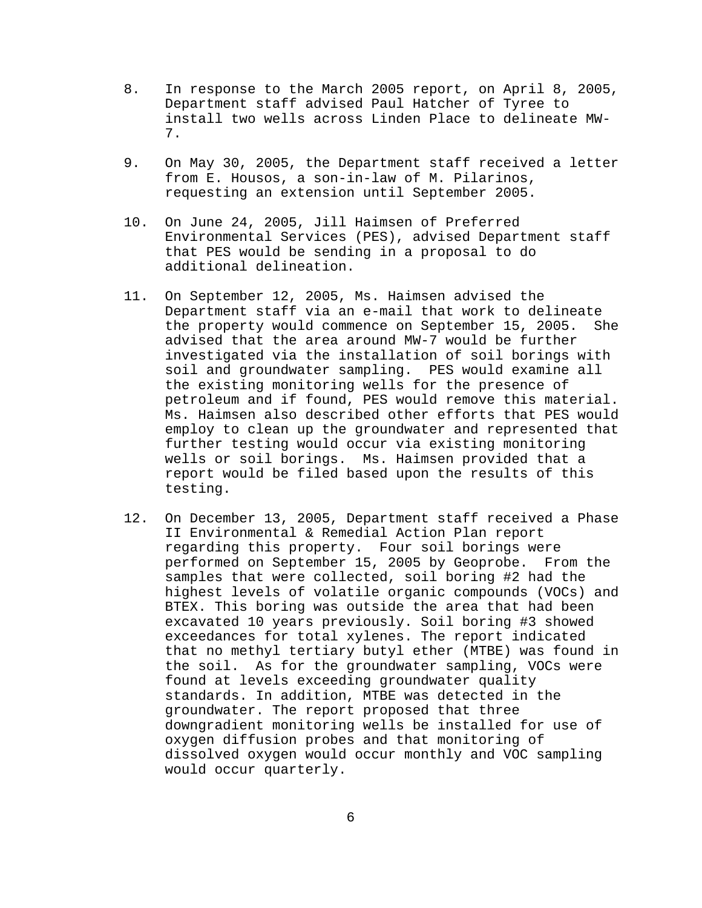- 8. In response to the March 2005 report, on April 8, 2005, Department staff advised Paul Hatcher of Tyree to install two wells across Linden Place to delineate MW-7.
- 9. On May 30, 2005, the Department staff received a letter from E. Housos, a son-in-law of M. Pilarinos, requesting an extension until September 2005.
- 10. On June 24, 2005, Jill Haimsen of Preferred Environmental Services (PES), advised Department staff that PES would be sending in a proposal to do additional delineation.
- 11. On September 12, 2005, Ms. Haimsen advised the Department staff via an e-mail that work to delineate the property would commence on September 15, 2005. She advised that the area around MW-7 would be further investigated via the installation of soil borings with soil and groundwater sampling. PES would examine all the existing monitoring wells for the presence of petroleum and if found, PES would remove this material. Ms. Haimsen also described other efforts that PES would employ to clean up the groundwater and represented that further testing would occur via existing monitoring wells or soil borings. Ms. Haimsen provided that a report would be filed based upon the results of this testing.
- 12. On December 13, 2005, Department staff received a Phase II Environmental & Remedial Action Plan report regarding this property. Four soil borings were performed on September 15, 2005 by Geoprobe. From the samples that were collected, soil boring #2 had the highest levels of volatile organic compounds (VOCs) and BTEX. This boring was outside the area that had been excavated 10 years previously. Soil boring #3 showed exceedances for total xylenes. The report indicated that no methyl tertiary butyl ether (MTBE) was found in the soil. As for the groundwater sampling, VOCs were found at levels exceeding groundwater quality standards. In addition, MTBE was detected in the groundwater. The report proposed that three downgradient monitoring wells be installed for use of oxygen diffusion probes and that monitoring of dissolved oxygen would occur monthly and VOC sampling would occur quarterly.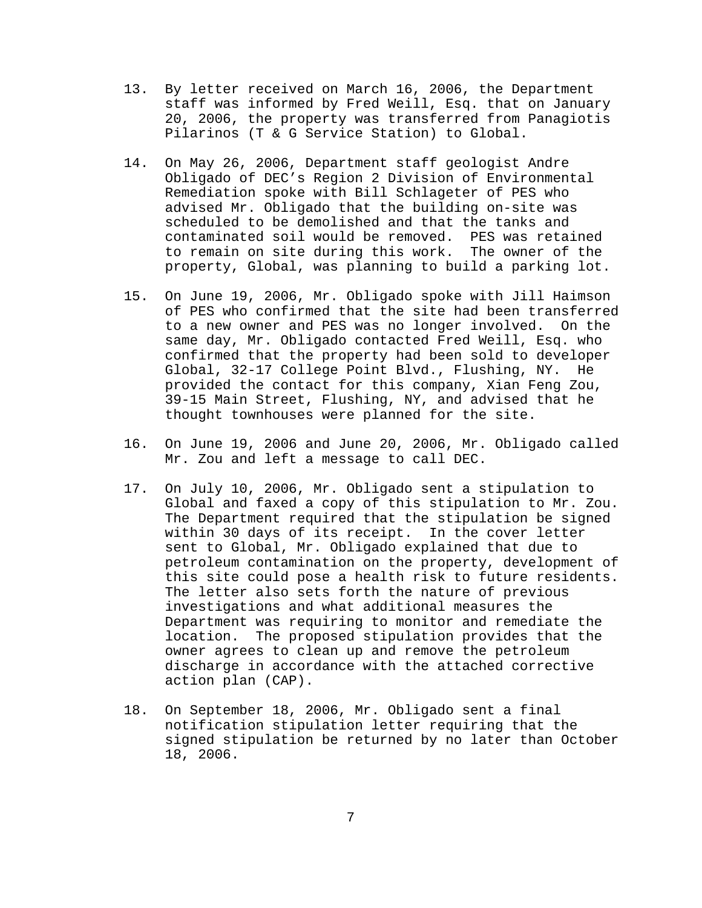- 13. By letter received on March 16, 2006, the Department staff was informed by Fred Weill, Esq. that on January 20, 2006, the property was transferred from Panagiotis Pilarinos (T & G Service Station) to Global.
- 14. On May 26, 2006, Department staff geologist Andre Obligado of DEC's Region 2 Division of Environmental Remediation spoke with Bill Schlageter of PES who advised Mr. Obligado that the building on-site was scheduled to be demolished and that the tanks and contaminated soil would be removed. PES was retained to remain on site during this work. The owner of the property, Global, was planning to build a parking lot.
- 15. On June 19, 2006, Mr. Obligado spoke with Jill Haimson of PES who confirmed that the site had been transferred to a new owner and PES was no longer involved. On the same day, Mr. Obligado contacted Fred Weill, Esq. who confirmed that the property had been sold to developer Global, 32-17 College Point Blvd., Flushing, NY. He provided the contact for this company, Xian Feng Zou, 39-15 Main Street, Flushing, NY, and advised that he thought townhouses were planned for the site.
- 16. On June 19, 2006 and June 20, 2006, Mr. Obligado called Mr. Zou and left a message to call DEC.
- 17. On July 10, 2006, Mr. Obligado sent a stipulation to Global and faxed a copy of this stipulation to Mr. Zou. The Department required that the stipulation be signed within 30 days of its receipt. In the cover letter sent to Global, Mr. Obligado explained that due to petroleum contamination on the property, development of this site could pose a health risk to future residents. The letter also sets forth the nature of previous investigations and what additional measures the Department was requiring to monitor and remediate the location. The proposed stipulation provides that the owner agrees to clean up and remove the petroleum discharge in accordance with the attached corrective action plan (CAP).
- 18. On September 18, 2006, Mr. Obligado sent a final notification stipulation letter requiring that the signed stipulation be returned by no later than October 18, 2006.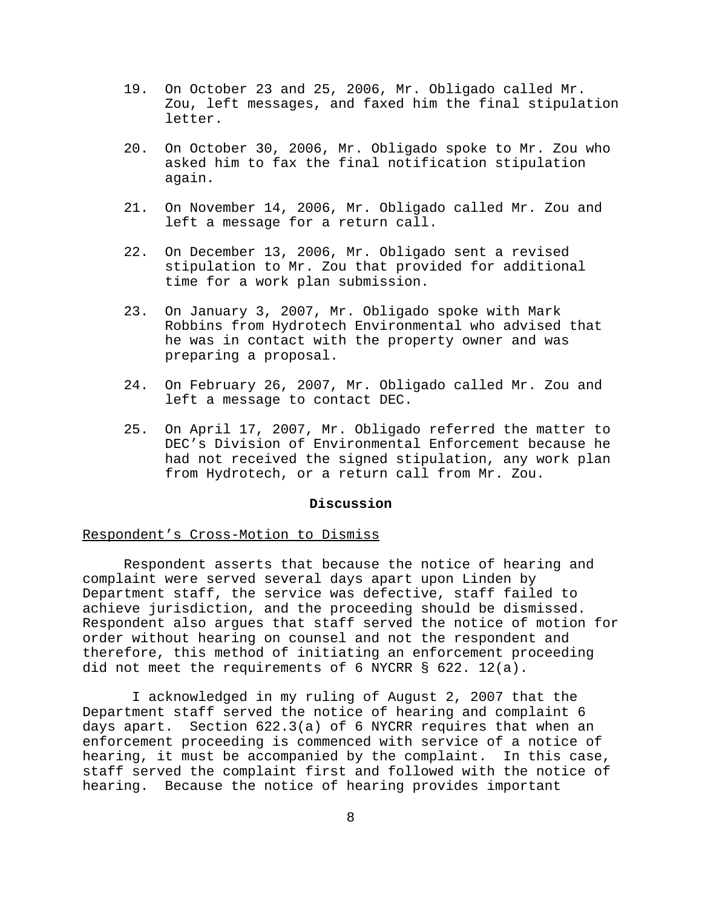- 19. On October 23 and 25, 2006, Mr. Obligado called Mr. Zou, left messages, and faxed him the final stipulation letter.
- 20. On October 30, 2006, Mr. Obligado spoke to Mr. Zou who asked him to fax the final notification stipulation again.
- 21. On November 14, 2006, Mr. Obligado called Mr. Zou and left a message for a return call.
- 22. On December 13, 2006, Mr. Obligado sent a revised stipulation to Mr. Zou that provided for additional time for a work plan submission.
- 23. On January 3, 2007, Mr. Obligado spoke with Mark Robbins from Hydrotech Environmental who advised that he was in contact with the property owner and was preparing a proposal.
- 24. On February 26, 2007, Mr. Obligado called Mr. Zou and left a message to contact DEC.
- 25. On April 17, 2007, Mr. Obligado referred the matter to DEC's Division of Environmental Enforcement because he had not received the signed stipulation, any work plan from Hydrotech, or a return call from Mr. Zou.

## **Discussion**

#### Respondent's Cross-Motion to Dismiss

Respondent asserts that because the notice of hearing and complaint were served several days apart upon Linden by Department staff, the service was defective, staff failed to achieve jurisdiction, and the proceeding should be dismissed. Respondent also argues that staff served the notice of motion for order without hearing on counsel and not the respondent and therefore, this method of initiating an enforcement proceeding did not meet the requirements of 6 NYCRR § 622. 12(a).

 I acknowledged in my ruling of August 2, 2007 that the Department staff served the notice of hearing and complaint 6 days apart. Section 622.3(a) of 6 NYCRR requires that when an enforcement proceeding is commenced with service of a notice of hearing, it must be accompanied by the complaint. In this case, staff served the complaint first and followed with the notice of hearing. Because the notice of hearing provides important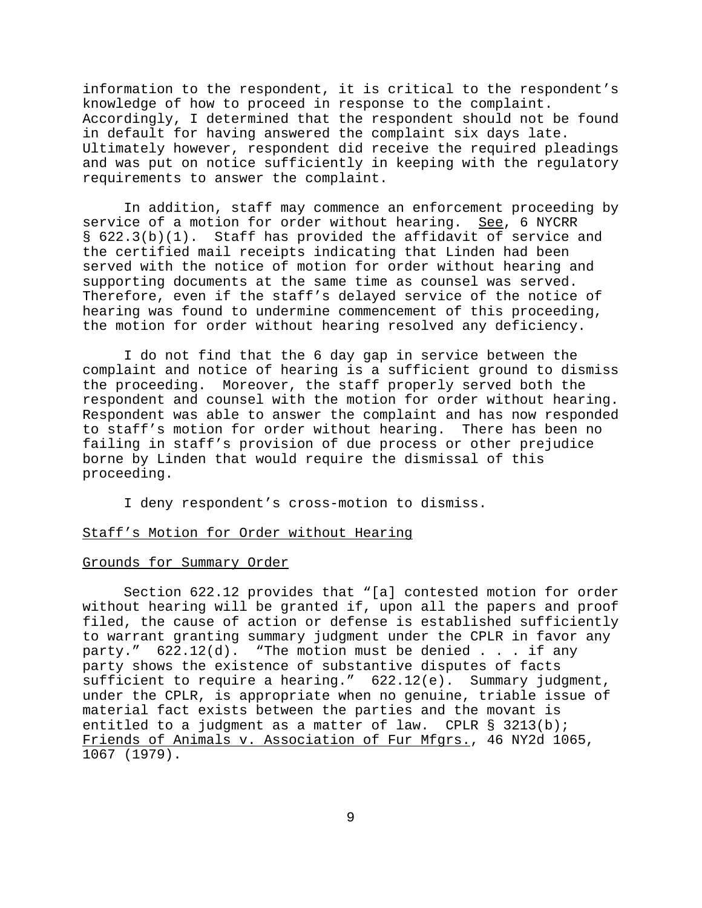information to the respondent, it is critical to the respondent's knowledge of how to proceed in response to the complaint. Accordingly, I determined that the respondent should not be found in default for having answered the complaint six days late. Ultimately however, respondent did receive the required pleadings and was put on notice sufficiently in keeping with the regulatory requirements to answer the complaint.

In addition, staff may commence an enforcement proceeding by service of a motion for order without hearing. See, 6 NYCRR § 622.3(b)(1). Staff has provided the affidavit of service and the certified mail receipts indicating that Linden had been served with the notice of motion for order without hearing and supporting documents at the same time as counsel was served. Therefore, even if the staff's delayed service of the notice of hearing was found to undermine commencement of this proceeding, the motion for order without hearing resolved any deficiency.

I do not find that the 6 day gap in service between the complaint and notice of hearing is a sufficient ground to dismiss the proceeding. Moreover, the staff properly served both the respondent and counsel with the motion for order without hearing. Respondent was able to answer the complaint and has now responded to staff's motion for order without hearing. There has been no failing in staff's provision of due process or other prejudice borne by Linden that would require the dismissal of this proceeding.

I deny respondent's cross-motion to dismiss.

#### Staff's Motion for Order without Hearing

#### Grounds for Summary Order

Section 622.12 provides that "[a] contested motion for order without hearing will be granted if, upon all the papers and proof filed, the cause of action or defense is established sufficiently to warrant granting summary judgment under the CPLR in favor any party."  $622.12(d)$ . "The motion must be denied . . . if any party shows the existence of substantive disputes of facts sufficient to require a hearing." 622.12(e). Summary judgment, under the CPLR, is appropriate when no genuine, triable issue of material fact exists between the parties and the movant is entitled to a judgment as a matter of law. CPLR § 3213(b); Friends of Animals v. Association of Fur Mfgrs., 46 NY2d 1065, 1067 (1979).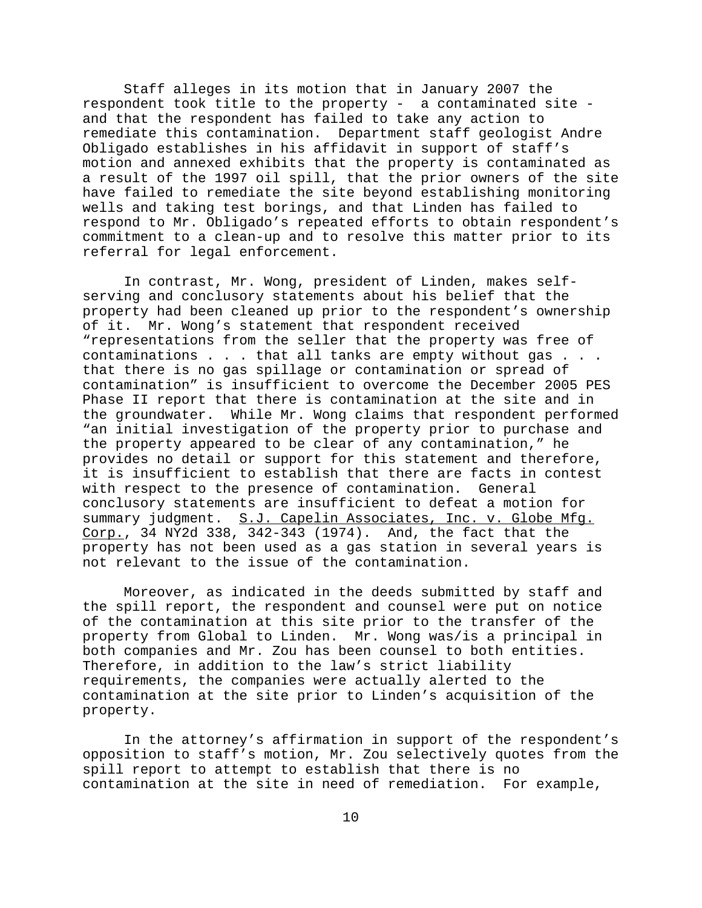Staff alleges in its motion that in January 2007 the respondent took title to the property - a contaminated site and that the respondent has failed to take any action to remediate this contamination. Department staff geologist Andre Obligado establishes in his affidavit in support of staff's motion and annexed exhibits that the property is contaminated as a result of the 1997 oil spill, that the prior owners of the site have failed to remediate the site beyond establishing monitoring wells and taking test borings, and that Linden has failed to respond to Mr. Obligado's repeated efforts to obtain respondent's commitment to a clean-up and to resolve this matter prior to its referral for legal enforcement.

In contrast, Mr. Wong, president of Linden, makes selfserving and conclusory statements about his belief that the property had been cleaned up prior to the respondent's ownership of it. Mr. Wong's statement that respondent received "representations from the seller that the property was free of contaminations . . . that all tanks are empty without gas . . . that there is no gas spillage or contamination or spread of contamination" is insufficient to overcome the December 2005 PES Phase II report that there is contamination at the site and in the groundwater. While Mr. Wong claims that respondent performed "an initial investigation of the property prior to purchase and the property appeared to be clear of any contamination," he provides no detail or support for this statement and therefore, it is insufficient to establish that there are facts in contest with respect to the presence of contamination. General conclusory statements are insufficient to defeat a motion for summary judgment. S.J. Capelin Associates, Inc. v. Globe Mfg. Corp., 34 NY2d 338, 342-343 (1974). And, the fact that the property has not been used as a gas station in several years is not relevant to the issue of the contamination.

Moreover, as indicated in the deeds submitted by staff and the spill report, the respondent and counsel were put on notice of the contamination at this site prior to the transfer of the property from Global to Linden. Mr. Wong was/is a principal in both companies and Mr. Zou has been counsel to both entities. Therefore, in addition to the law's strict liability requirements, the companies were actually alerted to the contamination at the site prior to Linden's acquisition of the property.

In the attorney's affirmation in support of the respondent's opposition to staff's motion, Mr. Zou selectively quotes from the spill report to attempt to establish that there is no contamination at the site in need of remediation. For example,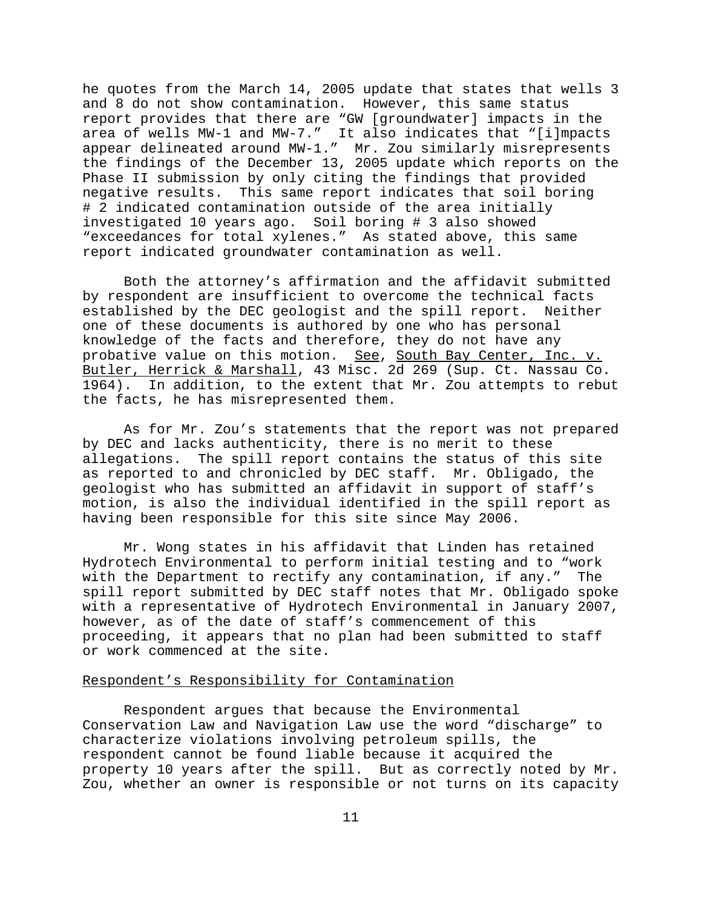he quotes from the March 14, 2005 update that states that wells 3 and 8 do not show contamination. However, this same status report provides that there are "GW [groundwater] impacts in the area of wells MW-1 and MW-7." It also indicates that "[i]mpacts appear delineated around MW-1." Mr. Zou similarly misrepresents the findings of the December 13, 2005 update which reports on the Phase II submission by only citing the findings that provided negative results. This same report indicates that soil boring # 2 indicated contamination outside of the area initially investigated 10 years ago. Soil boring # 3 also showed "exceedances for total xylenes." As stated above, this same report indicated groundwater contamination as well.

Both the attorney's affirmation and the affidavit submitted by respondent are insufficient to overcome the technical facts established by the DEC geologist and the spill report. Neither one of these documents is authored by one who has personal knowledge of the facts and therefore, they do not have any probative value on this motion. See, South Bay Center, Inc. v. Butler, Herrick & Marshall, 43 Misc. 2d 269 (Sup. Ct. Nassau Co. 1964). In addition, to the extent that Mr. Zou attempts to rebut the facts, he has misrepresented them.

As for Mr. Zou's statements that the report was not prepared by DEC and lacks authenticity, there is no merit to these allegations. The spill report contains the status of this site as reported to and chronicled by DEC staff. Mr. Obligado, the geologist who has submitted an affidavit in support of staff's motion, is also the individual identified in the spill report as having been responsible for this site since May 2006.

Mr. Wong states in his affidavit that Linden has retained Hydrotech Environmental to perform initial testing and to "work with the Department to rectify any contamination, if any." The spill report submitted by DEC staff notes that Mr. Obligado spoke with a representative of Hydrotech Environmental in January 2007, however, as of the date of staff's commencement of this proceeding, it appears that no plan had been submitted to staff or work commenced at the site.

### Respondent's Responsibility for Contamination

Respondent argues that because the Environmental Conservation Law and Navigation Law use the word "discharge" to characterize violations involving petroleum spills, the respondent cannot be found liable because it acquired the property 10 years after the spill. But as correctly noted by Mr. Zou, whether an owner is responsible or not turns on its capacity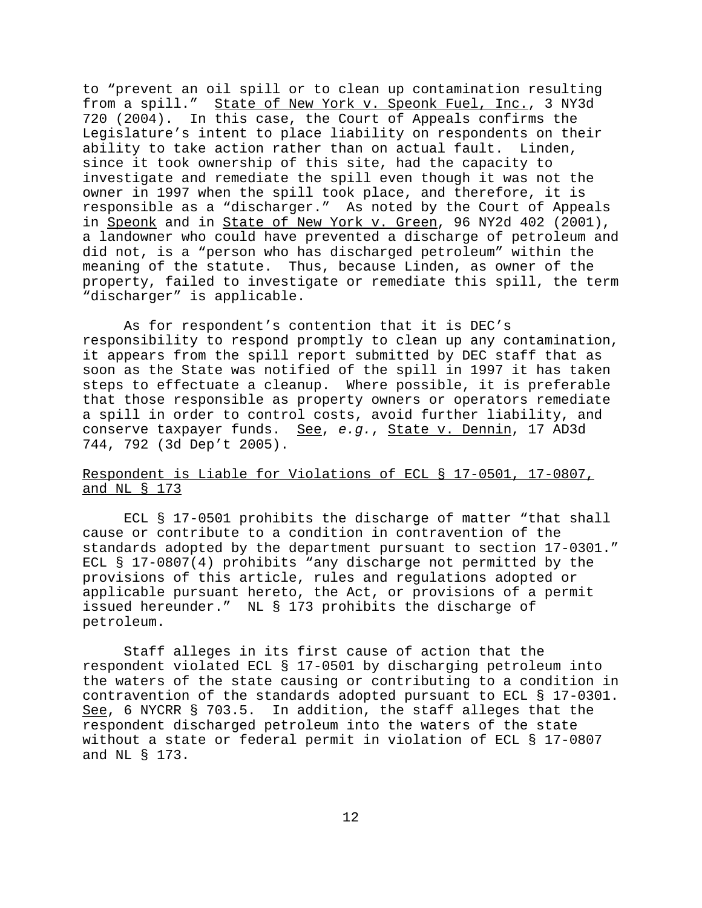to "prevent an oil spill or to clean up contamination resulting from a spill." State of New York v. Speonk Fuel, Inc., 3 NY3d 720 (2004). In this case, the Court of Appeals confirms the Legislature's intent to place liability on respondents on their ability to take action rather than on actual fault. Linden, since it took ownership of this site, had the capacity to investigate and remediate the spill even though it was not the owner in 1997 when the spill took place, and therefore, it is responsible as a "discharger." As noted by the Court of Appeals in Speonk and in State of New York v. Green, 96 NY2d 402 (2001), a landowner who could have prevented a discharge of petroleum and did not, is a "person who has discharged petroleum" within the meaning of the statute. Thus, because Linden, as owner of the property, failed to investigate or remediate this spill, the term "discharger" is applicable.

As for respondent's contention that it is DEC's responsibility to respond promptly to clean up any contamination, it appears from the spill report submitted by DEC staff that as soon as the State was notified of the spill in 1997 it has taken steps to effectuate a cleanup. Where possible, it is preferable that those responsible as property owners or operators remediate a spill in order to control costs, avoid further liability, and conserve taxpayer funds. See, *e.g.*, State v. Dennin, 17 AD3d 744, 792 (3d Dep't 2005).

# Respondent is Liable for Violations of ECL § 17-0501, 17-0807, and NL § 173

ECL § 17-0501 prohibits the discharge of matter "that shall cause or contribute to a condition in contravention of the standards adopted by the department pursuant to section 17-0301." ECL § 17-0807(4) prohibits "any discharge not permitted by the provisions of this article, rules and regulations adopted or applicable pursuant hereto, the Act, or provisions of a permit issued hereunder." NL § 173 prohibits the discharge of petroleum.

Staff alleges in its first cause of action that the respondent violated ECL § 17-0501 by discharging petroleum into the waters of the state causing or contributing to a condition in contravention of the standards adopted pursuant to ECL § 17-0301. See, 6 NYCRR § 703.5. In addition, the staff alleges that the respondent discharged petroleum into the waters of the state without a state or federal permit in violation of ECL § 17-0807 and NL § 173.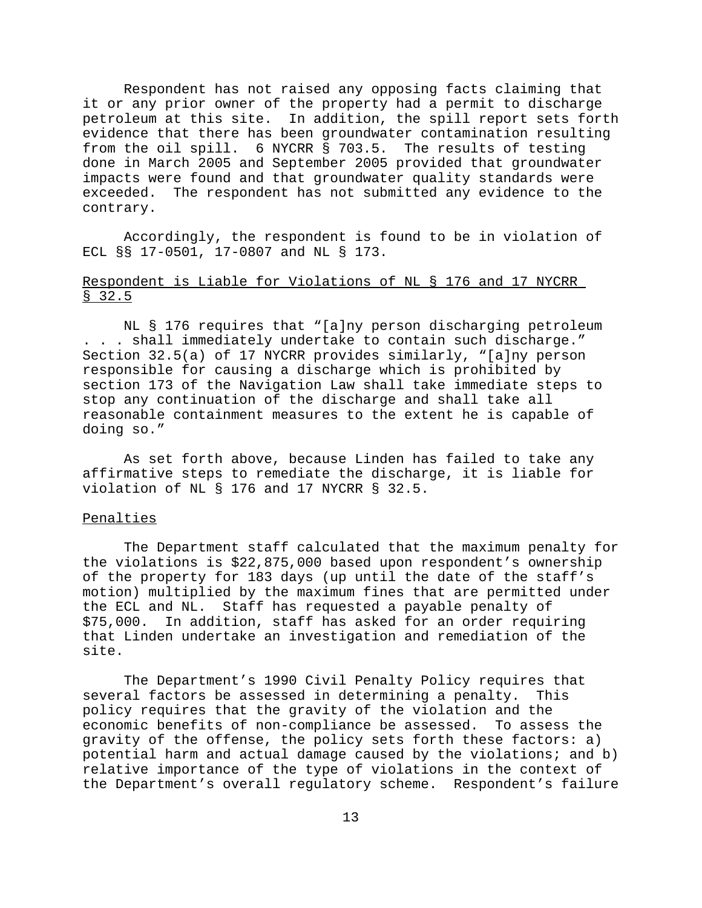Respondent has not raised any opposing facts claiming that it or any prior owner of the property had a permit to discharge petroleum at this site. In addition, the spill report sets forth evidence that there has been groundwater contamination resulting from the oil spill. 6 NYCRR § 703.5. The results of testing done in March 2005 and September 2005 provided that groundwater impacts were found and that groundwater quality standards were exceeded. The respondent has not submitted any evidence to the contrary.

Accordingly, the respondent is found to be in violation of ECL §§ 17-0501, 17-0807 and NL § 173.

# Respondent is Liable for Violations of NL § 176 and 17 NYCRR § 32.5

NL § 176 requires that "[a]ny person discharging petroleum . . . shall immediately undertake to contain such discharge." Section 32.5(a) of 17 NYCRR provides similarly, "[a]ny person responsible for causing a discharge which is prohibited by section 173 of the Navigation Law shall take immediate steps to stop any continuation of the discharge and shall take all reasonable containment measures to the extent he is capable of doing so."

As set forth above, because Linden has failed to take any affirmative steps to remediate the discharge, it is liable for violation of NL § 176 and 17 NYCRR § 32.5.

#### Penalties

The Department staff calculated that the maximum penalty for the violations is \$22,875,000 based upon respondent's ownership of the property for 183 days (up until the date of the staff's motion) multiplied by the maximum fines that are permitted under the ECL and NL. Staff has requested a payable penalty of \$75,000. In addition, staff has asked for an order requiring that Linden undertake an investigation and remediation of the site.

The Department's 1990 Civil Penalty Policy requires that several factors be assessed in determining a penalty. This policy requires that the gravity of the violation and the economic benefits of non-compliance be assessed. To assess the gravity of the offense, the policy sets forth these factors: a) potential harm and actual damage caused by the violations; and b) relative importance of the type of violations in the context of the Department's overall regulatory scheme. Respondent's failure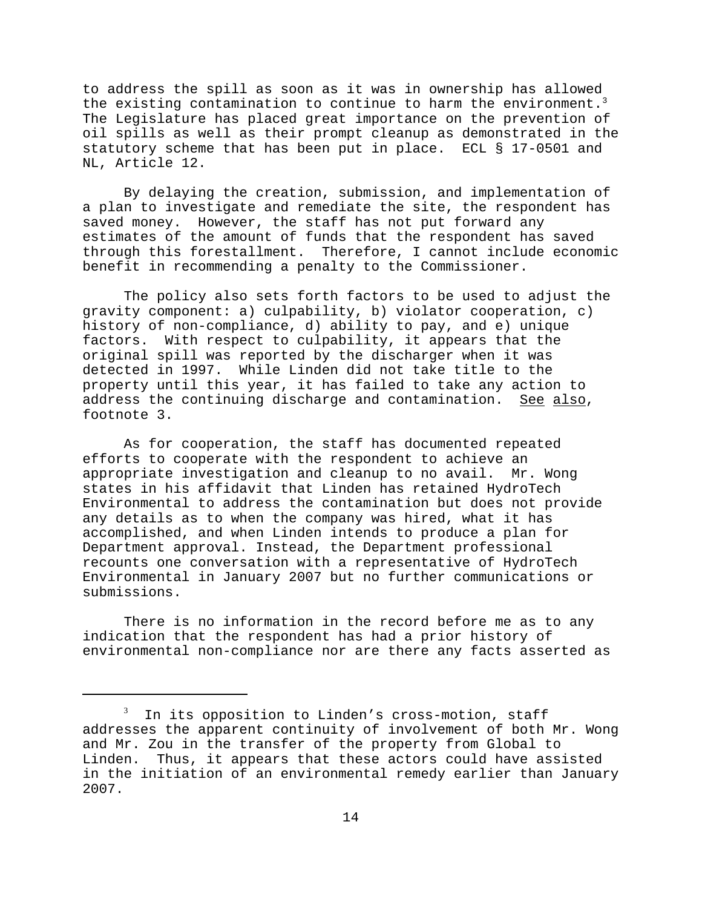to address the spill as soon as it was in ownership has allowed the existing contamination to continue to harm the environment.<sup>3</sup> The Legislature has placed great importance on the prevention of oil spills as well as their prompt cleanup as demonstrated in the statutory scheme that has been put in place. ECL § 17-0501 and NL, Article 12.

By delaying the creation, submission, and implementation of a plan to investigate and remediate the site, the respondent has saved money. However, the staff has not put forward any estimates of the amount of funds that the respondent has saved through this forestallment. Therefore, I cannot include economic benefit in recommending a penalty to the Commissioner.

The policy also sets forth factors to be used to adjust the gravity component: a) culpability, b) violator cooperation, c) history of non-compliance, d) ability to pay, and e) unique factors. With respect to culpability, it appears that the original spill was reported by the discharger when it was detected in 1997. While Linden did not take title to the property until this year, it has failed to take any action to address the continuing discharge and contamination. See also, footnote 3.

As for cooperation, the staff has documented repeated efforts to cooperate with the respondent to achieve an appropriate investigation and cleanup to no avail. Mr. Wong states in his affidavit that Linden has retained HydroTech Environmental to address the contamination but does not provide any details as to when the company was hired, what it has accomplished, and when Linden intends to produce a plan for Department approval. Instead, the Department professional recounts one conversation with a representative of HydroTech Environmental in January 2007 but no further communications or submissions.

There is no information in the record before me as to any indication that the respondent has had a prior history of environmental non-compliance nor are there any facts asserted as

<sup>3</sup> In its opposition to Linden's cross-motion, staff addresses the apparent continuity of involvement of both Mr. Wong and Mr. Zou in the transfer of the property from Global to Linden. Thus, it appears that these actors could have assisted in the initiation of an environmental remedy earlier than January 2007.